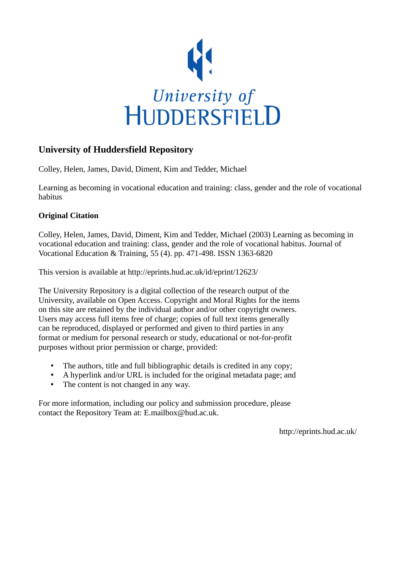

# **University of Huddersfield Repository**

Colley, Helen, James, David, Diment, Kim and Tedder, Michael

Learning as becoming in vocational education and training: class, gender and the role of vocational habitus

# **Original Citation**

Colley, Helen, James, David, Diment, Kim and Tedder, Michael (2003) Learning as becoming in vocational education and training: class, gender and the role of vocational habitus. Journal of Vocational Education & Training, 55 (4). pp. 471-498. ISSN 1363-6820

This version is available at http://eprints.hud.ac.uk/id/eprint/12623/

The University Repository is a digital collection of the research output of the University, available on Open Access. Copyright and Moral Rights for the items on this site are retained by the individual author and/or other copyright owners. Users may access full items free of charge; copies of full text items generally can be reproduced, displayed or performed and given to third parties in any format or medium for personal research or study, educational or not-for-profit purposes without prior permission or charge, provided:

- The authors, title and full bibliographic details is credited in any copy;
- A hyperlink and/or URL is included for the original metadata page; and
- The content is not changed in any way.

For more information, including our policy and submission procedure, please contact the Repository Team at: E.mailbox@hud.ac.uk.

http://eprints.hud.ac.uk/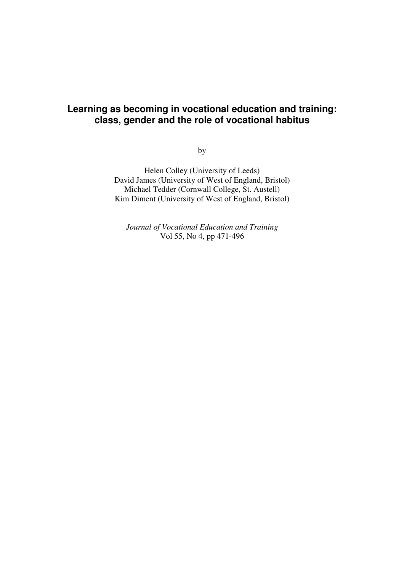# **Learning as becoming in vocational education and training: class, gender and the role of vocational habitus**

by

Helen Colley (University of Leeds) David James (University of West of England, Bristol) Michael Tedder (Cornwall College, St. Austell) Kim Diment (University of West of England, Bristol)

*Journal of Vocational Education and Training*  Vol 55, No 4, pp 471-496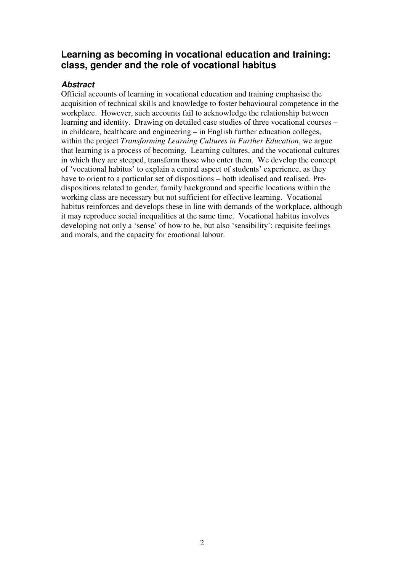# **Learning as becoming in vocational education and training: class, gender and the role of vocational habitus**

# **Abstract**

Official accounts of learning in vocational education and training emphasise the acquisition of technical skills and knowledge to foster behavioural competence in the workplace. However, such accounts fail to acknowledge the relationship between learning and identity. Drawing on detailed case studies of three vocational courses – in childcare, healthcare and engineering – in English further education colleges, within the project *Transforming Learning Cultures in Further Education*, we argue that learning is a process of becoming. Learning cultures, and the vocational cultures in which they are steeped, transform those who enter them. We develop the concept of 'vocational habitus' to explain a central aspect of students' experience, as they have to orient to a particular set of dispositions – both idealised and realised. Predispositions related to gender, family background and specific locations within the working class are necessary but not sufficient for effective learning. Vocational habitus reinforces and develops these in line with demands of the workplace, although it may reproduce social inequalities at the same time. Vocational habitus involves developing not only a 'sense' of how to be, but also 'sensibility': requisite feelings and morals, and the capacity for emotional labour.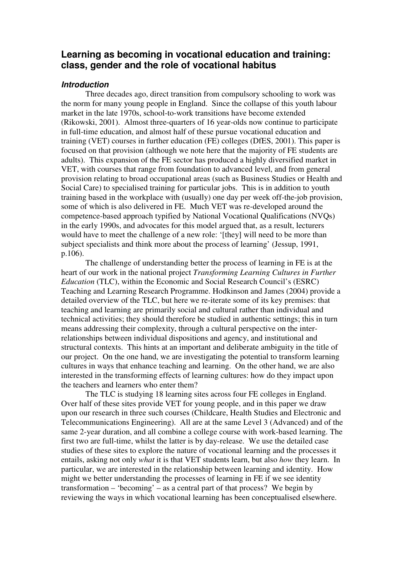# **Learning as becoming in vocational education and training: class, gender and the role of vocational habitus**

## **Introduction**

Three decades ago, direct transition from compulsory schooling to work was the norm for many young people in England. Since the collapse of this youth labour market in the late 1970s, school-to-work transitions have become extended (Rikowski, 2001). Almost three-quarters of 16 year-olds now continue to participate in full-time education, and almost half of these pursue vocational education and training (VET) courses in further education (FE) colleges (DfES, 2001). This paper is focused on that provision (although we note here that the majority of FE students are adults). This expansion of the FE sector has produced a highly diversified market in VET, with courses that range from foundation to advanced level, and from general provision relating to broad occupational areas (such as Business Studies or Health and Social Care) to specialised training for particular jobs. This is in addition to youth training based in the workplace with (usually) one day per week off-the-job provision, some of which is also delivered in FE. Much VET was re-developed around the competence-based approach typified by National Vocational Qualifications (NVQs) in the early 1990s, and advocates for this model argued that, as a result, lecturers would have to meet the challenge of a new role: '[they] will need to be more than subject specialists and think more about the process of learning' (Jessup, 1991, p.106).

 The challenge of understanding better the process of learning in FE is at the heart of our work in the national project *Transforming Learning Cultures in Further Education* (TLC), within the Economic and Social Research Council's (ESRC) Teaching and Learning Research Programme. Hodkinson and James (2004) provide a detailed overview of the TLC, but here we re-iterate some of its key premises: that teaching and learning are primarily social and cultural rather than individual and technical activities; they should therefore be studied in authentic settings; this in turn means addressing their complexity, through a cultural perspective on the interrelationships between individual dispositions and agency, and institutional and structural contexts. This hints at an important and deliberate ambiguity in the title of our project. On the one hand, we are investigating the potential to transform learning cultures in ways that enhance teaching and learning. On the other hand, we are also interested in the transforming effects of learning cultures: how do they impact upon the teachers and learners who enter them?

 The TLC is studying 18 learning sites across four FE colleges in England. Over half of these sites provide VET for young people, and in this paper we draw upon our research in three such courses (Childcare, Health Studies and Electronic and Telecommunications Engineering). All are at the same Level 3 (Advanced) and of the same 2-year duration, and all combine a college course with work-based learning. The first two are full-time, whilst the latter is by day-release.We use the detailed case studies of these sites to explore the nature of vocational learning and the processes it entails, asking not only *what* it is that VET students learn, but also *how* they learn. In particular, we are interested in the relationship between learning and identity. How might we better understanding the processes of learning in FE if we see identity transformation – 'becoming' – as a central part of that process? We begin by reviewing the ways in which vocational learning has been conceptualised elsewhere.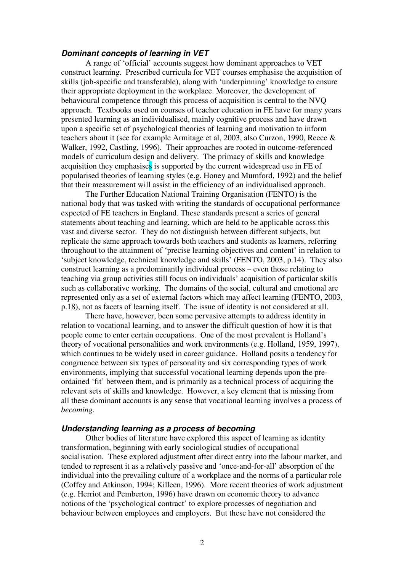### **Dominant concepts of learning in VET**

 A range of 'official' accounts suggest how dominant approaches to VET construct learning. Prescribed curricula for VET courses emphasise the acquisition of skills (job-specific and transferable), along with 'underpinning' knowledge to ensure their appropriate deployment in the workplace. Moreover, the development of behavioural competence through this process of acquisition is central to the NVQ approach. Textbooks used on courses of teacher education in FE have for many years presented learning as an individualised, mainly cognitive process and have drawn upon a specific set of psychological theories of learning and motivation to inform teachers about it (see for example Armitage et al, 2003, also Curzon, 1990, Reece & Walker, 1992, Castling, 1996).Their approaches are rooted in outcome-referenced models of curriculum design and delivery. The primacy of skills and knowledge acquisition they emphasises is supported by the current widespread use in FE of popularised theories of learning styles (e.g. Honey and Mumford, 1992) and the belief that their measurement will assist in the efficiency of an individualised approach.

The Further Education National Training Organisation (FENTO) is the national body that was tasked with writing the standards of occupational performance expected of FE teachers in England. These standards present a series of general statements about teaching and learning, which are held to be applicable across this vast and diverse sector. They do not distinguish between different subjects, but replicate the same approach towards both teachers and students as learners, referring throughout to the attainment of 'precise learning objectives and content' in relation to 'subject knowledge, technical knowledge and skills' (FENTO, 2003, p.14). They also construct learning as a predominantly individual process – even those relating to teaching via group activities still focus on individuals' acquisition of particular skills such as collaborative working. The domains of the social, cultural and emotional are represented only as a set of external factors which may affect learning (FENTO, 2003, p.18), not as facets of learning itself. The issue of identity is not considered at all.

There have, however, been some pervasive attempts to address identity in relation to vocational learning, and to answer the difficult question of how it is that people come to enter certain occupations. One of the most prevalent is Holland's theory of vocational personalities and work environments (e.g. Holland, 1959, 1997), which continues to be widely used in career guidance. Holland posits a tendency for congruence between six types of personality and six corresponding types of work environments, implying that successful vocational learning depends upon the preordained 'fit' between them, and is primarily as a technical process of acquiring the relevant sets of skills and knowledge. However, a key element that is missing from all these dominant accounts is any sense that vocational learning involves a process of *becoming*.

### **Understanding learning as a process of becoming**

Other bodies of literature have explored this aspect of learning as identity transformation, beginning with early sociological studies of occupational socialisation. These explored adjustment after direct entry into the labour market, and tended to represent it as a relatively passive and 'once-and-for-all' absorption of the individual into the prevailing culture of a workplace and the norms of a particular role (Coffey and Atkinson, 1994; Killeen, 1996). More recent theories of work adjustment (e.g. Herriot and Pemberton, 1996) have drawn on economic theory to advance notions of the 'psychological contract' to explore processes of negotiation and behaviour between employees and employers. But these have not considered the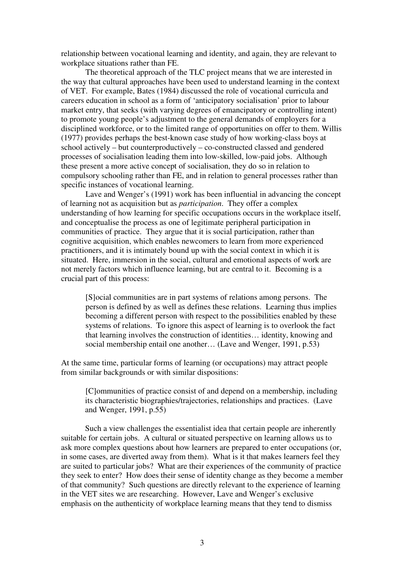relationship between vocational learning and identity, and again, they are relevant to workplace situations rather than FE.

The theoretical approach of the TLC project means that we are interested in the way that cultural approaches have been used to understand learning in the context of VET. For example, Bates (1984) discussed the role of vocational curricula and careers education in school as a form of 'anticipatory socialisation' prior to labour market entry, that seeks (with varying degrees of emancipatory or controlling intent) to promote young people's adjustment to the general demands of employers for a disciplined workforce, or to the limited range of opportunities on offer to them. Willis (1977) provides perhaps the best-known case study of how working-class boys at school actively – but counterproductively – co-constructed classed and gendered processes of socialisation leading them into low-skilled, low-paid jobs. Although these present a more active concept of socialisation, they do so in relation to compulsory schooling rather than FE, and in relation to general processes rather than specific instances of vocational learning.

Lave and Wenger's (1991) work has been influential in advancing the concept of learning not as acquisition but as *participation*. They offer a complex understanding of how learning for specific occupations occurs in the workplace itself, and conceptualise the process as one of legitimate peripheral participation in communities of practice. They argue that it is social participation, rather than cognitive acquisition, which enables newcomers to learn from more experienced practitioners, and it is intimately bound up with the social context in which it is situated. Here, immersion in the social, cultural and emotional aspects of work are not merely factors which influence learning, but are central to it. Becoming is a crucial part of this process:

[S]ocial communities are in part systems of relations among persons. The person is defined by as well as defines these relations. Learning thus implies becoming a different person with respect to the possibilities enabled by these systems of relations. To ignore this aspect of learning is to overlook the fact that learning involves the construction of identities… identity, knowing and social membership entail one another… (Lave and Wenger, 1991, p.53)

At the same time, particular forms of learning (or occupations) may attract people from similar backgrounds or with similar dispositions:

[C]ommunities of practice consist of and depend on a membership, including its characteristic biographies/trajectories, relationships and practices. (Lave and Wenger, 1991, p.55)

Such a view challenges the essentialist idea that certain people are inherently suitable for certain jobs. A cultural or situated perspective on learning allows us to ask more complex questions about how learners are prepared to enter occupations (or, in some cases, are diverted away from them). What is it that makes learners feel they are suited to particular jobs? What are their experiences of the community of practice they seek to enter? How does their sense of identity change as they become a member of that community? Such questions are directly relevant to the experience of learning in the VET sites we are researching. However, Lave and Wenger's exclusive emphasis on the authenticity of workplace learning means that they tend to dismiss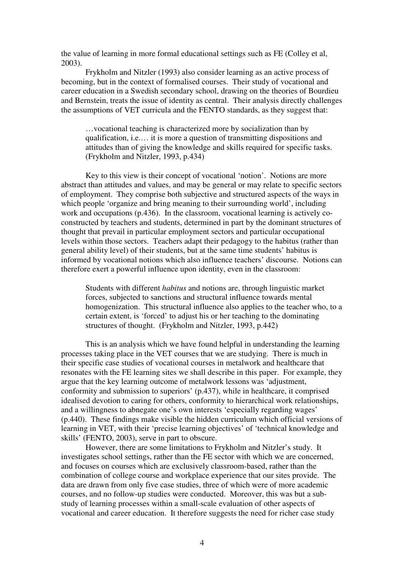the value of learning in more formal educational settings such as FE (Colley et al, 2003).

 Frykholm and Nitzler (1993) also consider learning as an active process of becoming, but in the context of formalised courses. Their study of vocational and career education in a Swedish secondary school, drawing on the theories of Bourdieu and Bernstein, treats the issue of identity as central. Their analysis directly challenges the assumptions of VET curricula and the FENTO standards, as they suggest that:

…vocational teaching is characterized more by socialization than by qualification, i.e.… it is more a question of transmitting dispositions and attitudes than of giving the knowledge and skills required for specific tasks. (Frykholm and Nitzler, 1993, p.434)

Key to this view is their concept of vocational 'notion'. Notions are more abstract than attitudes and values, and may be general or may relate to specific sectors of employment. They comprise both subjective and structured aspects of the ways in which people 'organize and bring meaning to their surrounding world', including work and occupations (p.436). In the classroom, vocational learning is actively coconstructed by teachers and students, determined in part by the dominant structures of thought that prevail in particular employment sectors and particular occupational levels within those sectors. Teachers adapt their pedagogy to the habitus (rather than general ability level) of their students, but at the same time students' habitus is informed by vocational notions which also influence teachers' discourse. Notions can therefore exert a powerful influence upon identity, even in the classroom:

Students with different *habitus* and notions are, through linguistic market forces, subjected to sanctions and structural influence towards mental homogenization. This structural influence also applies to the teacher who, to a certain extent, is 'forced' to adjust his or her teaching to the dominating structures of thought. (Frykholm and Nitzler, 1993, p.442)

This is an analysis which we have found helpful in understanding the learning processes taking place in the VET courses that we are studying. There is much in their specific case studies of vocational courses in metalwork and healthcare that resonates with the FE learning sites we shall describe in this paper. For example, they argue that the key learning outcome of metalwork lessons was 'adjustment, conformity and submission to superiors' (p.437), while in healthcare, it comprised idealised devotion to caring for others, conformity to hierarchical work relationships, and a willingness to abnegate one's own interests 'especially regarding wages' (p.440). These findings make visible the hidden curriculum which official versions of learning in VET, with their 'precise learning objectives' of 'technical knowledge and skills' (FENTO, 2003), serve in part to obscure.

However, there are some limitations to Frykholm and Nitzler's study. It investigates school settings, rather than the FE sector with which we are concerned, and focuses on courses which are exclusively classroom-based, rather than the combination of college course and workplace experience that our sites provide. The data are drawn from only five case studies, three of which were of more academic courses, and no follow-up studies were conducted. Moreover, this was but a substudy of learning processes within a small-scale evaluation of other aspects of vocational and career education. It therefore suggests the need for richer case study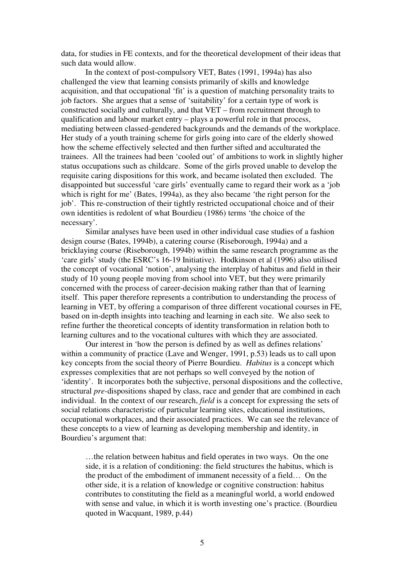data, for studies in FE contexts, and for the theoretical development of their ideas that such data would allow.

In the context of post-compulsory VET, Bates (1991, 1994a) has also challenged the view that learning consists primarily of skills and knowledge acquisition, and that occupational 'fit' is a question of matching personality traits to job factors. She argues that a sense of 'suitability' for a certain type of work is constructed socially and culturally, and that VET – from recruitment through to qualification and labour market entry – plays a powerful role in that process, mediating between classed-gendered backgrounds and the demands of the workplace. Her study of a youth training scheme for girls going into care of the elderly showed how the scheme effectively selected and then further sifted and acculturated the trainees. All the trainees had been 'cooled out' of ambitions to work in slightly higher status occupations such as childcare. Some of the girls proved unable to develop the requisite caring dispositions for this work, and became isolated then excluded. The disappointed but successful 'care girls' eventually came to regard their work as a 'job which is right for me' (Bates, 1994a), as they also became 'the right person for the job'. This re-construction of their tightly restricted occupational choice and of their own identities is redolent of what Bourdieu (1986) terms 'the choice of the necessary'.

Similar analyses have been used in other individual case studies of a fashion design course (Bates, 1994b), a catering course (Riseborough, 1994a) and a bricklaying course (Riseborough, 1994b) within the same research programme as the 'care girls' study (the ESRC's 16-19 Initiative). Hodkinson et al (1996) also utilised the concept of vocational 'notion', analysing the interplay of habitus and field in their study of 10 young people moving from school into VET, but they were primarily concerned with the process of career-decision making rather than that of learning itself. This paper therefore represents a contribution to understanding the process of learning in VET, by offering a comparison of three different vocational courses in FE, based on in-depth insights into teaching and learning in each site. We also seek to refine further the theoretical concepts of identity transformation in relation both to learning cultures and to the vocational cultures with which they are associated.

Our interest in 'how the person is defined by as well as defines relations' within a community of practice (Lave and Wenger, 1991, p.53) leads us to call upon key concepts from the social theory of Pierre Bourdieu. *Habitus* is a concept which expresses complexities that are not perhaps so well conveyed by the notion of 'identity'. It incorporates both the subjective, personal dispositions and the collective, structural *pre-*dispositions shaped by class, race and gender that are combined in each individual. In the context of our research, *field* is a concept for expressing the sets of social relations characteristic of particular learning sites, educational institutions, occupational workplaces, and their associated practices. We can see the relevance of these concepts to a view of learning as developing membership and identity, in Bourdieu's argument that:

…the relation between habitus and field operates in two ways. On the one side, it is a relation of conditioning: the field structures the habitus, which is the product of the embodiment of immanent necessity of a field… On the other side, it is a relation of knowledge or cognitive construction: habitus contributes to constituting the field as a meaningful world, a world endowed with sense and value, in which it is worth investing one's practice. (Bourdieu quoted in Wacquant, 1989, p.44)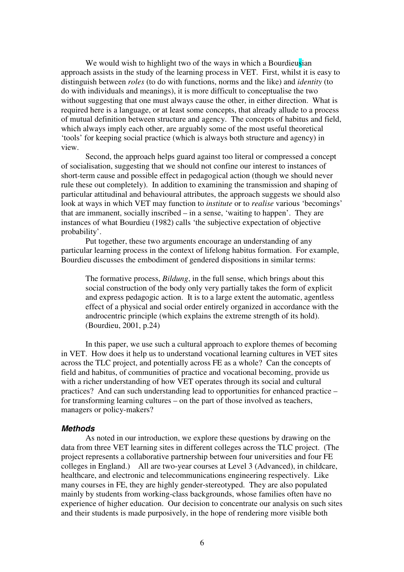We would wish to highlight two of the ways in which a Bourdieusian approach assists in the study of the learning process in VET. First, whilst it is easy to distinguish between *roles* (to do with functions, norms and the like) and *identity* (to do with individuals and meanings), it is more difficult to conceptualise the two without suggesting that one must always cause the other, in either direction. What is required here is a language, or at least some concepts, that already allude to a process of mutual definition between structure and agency. The concepts of habitus and field, which always imply each other, are arguably some of the most useful theoretical 'tools' for keeping social practice (which is always both structure and agency) in view.

Second, the approach helps guard against too literal or compressed a concept of socialisation, suggesting that we should not confine our interest to instances of short-term cause and possible effect in pedagogical action (though we should never rule these out completely). In addition to examining the transmission and shaping of particular attitudinal and behavioural attributes, the approach suggests we should also look at ways in which VET may function to *institute* or to *realise* various 'becomings' that are immanent, socially inscribed – in a sense, 'waiting to happen'. They are instances of what Bourdieu (1982) calls 'the subjective expectation of objective probability'.

Put together, these two arguments encourage an understanding of any particular learning process in the context of lifelong habitus formation. For example, Bourdieu discusses the embodiment of gendered dispositions in similar terms:

 The formative process, *Bildung*, in the full sense, which brings about this social construction of the body only very partially takes the form of explicit and express pedagogic action. It is to a large extent the automatic, agentless effect of a physical and social order entirely organized in accordance with the androcentric principle (which explains the extreme strength of its hold). (Bourdieu, 2001, p.24)

In this paper, we use such a cultural approach to explore themes of becoming in VET. How does it help us to understand vocational learning cultures in VET sites across the TLC project, and potentially across FE as a whole? Can the concepts of field and habitus, of communities of practice and vocational becoming, provide us with a richer understanding of how VET operates through its social and cultural practices? And can such understanding lead to opportunities for enhanced practice – for transforming learning cultures – on the part of those involved as teachers, managers or policy-makers?

#### **Methods**

 As noted in our introduction, we explore these questions by drawing on the data from three VET learning sites in different colleges across the TLC project. (The project represents a collaborative partnership between four universities and four FE colleges in England.) All are two-year courses at Level 3 (Advanced), in childcare, healthcare, and electronic and telecommunications engineering respectively. Like many courses in FE, they are highly gender-stereotyped. They are also populated mainly by students from working-class backgrounds, whose families often have no experience of higher education. Our decision to concentrate our analysis on such sites and their students is made purposively, in the hope of rendering more visible both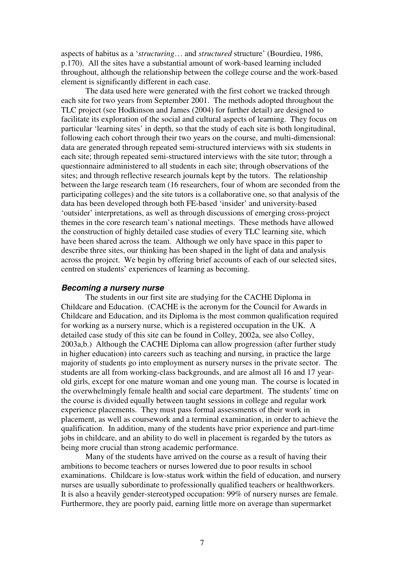aspects of habitus as a '*structuring*… and *structured* structure' (Bourdieu, 1986, p.170). All the sites have a substantial amount of work-based learning included throughout, although the relationship between the college course and the work-based element is significantly different in each case.

The data used here were generated with the first cohort we tracked through each site for two years from September 2001. The methods adopted throughout the TLC project (see Hodkinson and James (2004) for further detail) are designed to facilitate its exploration of the social and cultural aspects of learning. They focus on particular 'learning sites' in depth, so that the study of each site is both longitudinal, following each cohort through their two years on the course, and multi-dimensional: data are generated through repeated semi-structured interviews with six students in each site; through repeated semi-structured interviews with the site tutor; through a questionnaire administered to all students in each site; through observations of the sites; and through reflective research journals kept by the tutors. The relationship between the large research team (16 researchers, four of whom are seconded from the participating colleges) and the site tutors is a collaborative one, so that analysis of the data has been developed through both FE-based 'insider' and university-based 'outsider' interpretations, as well as through discussions of emerging cross-project themes in the core research team's national meetings. These methods have allowed the construction of highly detailed case studies of every TLC learning site, which have been shared across the team. Although we only have space in this paper to describe three sites, our thinking has been shaped in the light of data and analysis across the project. We begin by offering brief accounts of each of our selected sites, centred on students' experiences of learning as becoming.

#### **Becoming a nursery nurse**

The students in our first site are studying for the CACHE Diploma in Childcare and Education. (CACHE is the acronym for the Council for Awards in Childcare and Education, and its Diploma is the most common qualification required for working as a nursery nurse, which is a registered occupation in the UK. A detailed case study of this site can be found in Colley, 2002a, see also Colley, 2003a,b.) Although the CACHE Diploma can allow progression (after further study in higher education) into careers such as teaching and nursing, in practice the large majority of students go into employment as nursery nurses in the private sector. The students are all from working-class backgrounds, and are almost all 16 and 17 yearold girls, except for one mature woman and one young man. The course is located in the overwhelmingly female health and social care department. The students' time on the course is divided equally between taught sessions in college and regular work experience placements. They must pass formal assessments of their work in placement, as well as coursework and a terminal examination, in order to achieve the qualification. In addition, many of the students have prior experience and part-time jobs in childcare, and an ability to do well in placement is regarded by the tutors as being more crucial than strong academic performance.

Many of the students have arrived on the course as a result of having their ambitions to become teachers or nurses lowered due to poor results in school examinations. Childcare is low-status work within the field of education, and nursery nurses are usually subordinate to professionally qualified teachers or healthworkers. It is also a heavily gender-stereotyped occupation: 99% of nursery nurses are female. Furthermore, they are poorly paid, earning little more on average than supermarket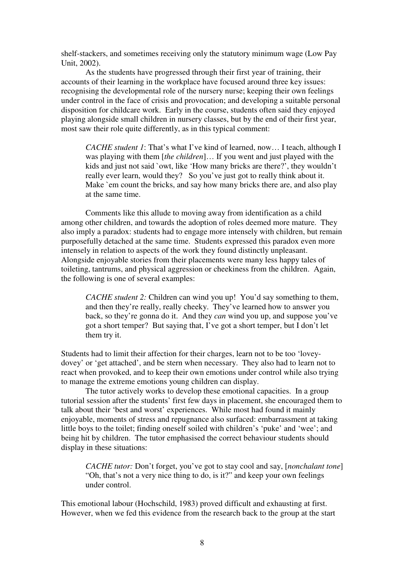shelf-stackers, and sometimes receiving only the statutory minimum wage (Low Pay Unit, 2002).

As the students have progressed through their first year of training, their accounts of their learning in the workplace have focused around three key issues: recognising the developmental role of the nursery nurse; keeping their own feelings under control in the face of crisis and provocation; and developing a suitable personal disposition for childcare work. Early in the course, students often said they enjoyed playing alongside small children in nursery classes, but by the end of their first year, most saw their role quite differently, as in this typical comment:

*CACHE student 1*: That's what I've kind of learned, now… I teach, although I was playing with them [*the children*]… If you went and just played with the kids and just not said `owt, like 'How many bricks are there?', they wouldn't really ever learn, would they? So you've just got to really think about it. Make `em count the bricks, and say how many bricks there are, and also play at the same time.

Comments like this allude to moving away from identification as a child among other children, and towards the adoption of roles deemed more mature. They also imply a paradox: students had to engage more intensely with children, but remain purposefully detached at the same time. Students expressed this paradox even more intensely in relation to aspects of the work they found distinctly unpleasant. Alongside enjoyable stories from their placements were many less happy tales of toileting, tantrums, and physical aggression or cheekiness from the children. Again, the following is one of several examples:

*CACHE student 2:* Children can wind you up! You'd say something to them, and then they're really, really cheeky. They've learned how to answer you back, so they're gonna do it. And they *can* wind you up, and suppose you've got a short temper? But saying that, I've got a short temper, but I don't let them try it.

Students had to limit their affection for their charges, learn not to be too 'loveydovey' or 'get attached', and be stern when necessary. They also had to learn not to react when provoked, and to keep their own emotions under control while also trying to manage the extreme emotions young children can display.

 The tutor actively works to develop these emotional capacities. In a group tutorial session after the students' first few days in placement, she encouraged them to talk about their 'best and worst' experiences. While most had found it mainly enjoyable, moments of stress and repugnance also surfaced: embarrassment at taking little boys to the toilet; finding oneself soiled with children's 'puke' and 'wee'; and being hit by children. The tutor emphasised the correct behaviour students should display in these situations:

*CACHE tutor:* Don't forget, you've got to stay cool and say, [*nonchalant tone*] "Oh, that's not a very nice thing to do, is it?" and keep your own feelings under control.

This emotional labour (Hochschild, 1983) proved difficult and exhausting at first. However, when we fed this evidence from the research back to the group at the start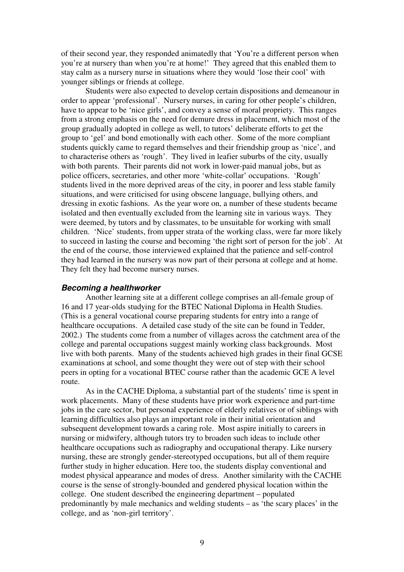of their second year, they responded animatedly that 'You're a different person when you're at nursery than when you're at home!' They agreed that this enabled them to stay calm as a nursery nurse in situations where they would 'lose their cool' with younger siblings or friends at college.

 Students were also expected to develop certain dispositions and demeanour in order to appear 'professional'. Nursery nurses, in caring for other people's children, have to appear to be 'nice girls', and convey a sense of moral propriety. This ranges from a strong emphasis on the need for demure dress in placement, which most of the group gradually adopted in college as well, to tutors' deliberate efforts to get the group to 'gel' and bond emotionally with each other. Some of the more compliant students quickly came to regard themselves and their friendship group as 'nice', and to characterise others as 'rough'. They lived in leafier suburbs of the city, usually with both parents. Their parents did not work in lower-paid manual jobs, but as police officers, secretaries, and other more 'white-collar' occupations. 'Rough' students lived in the more deprived areas of the city, in poorer and less stable family situations, and were criticised for using obscene language, bullying others, and dressing in exotic fashions. As the year wore on, a number of these students became isolated and then eventually excluded from the learning site in various ways. They were deemed, by tutors and by classmates, to be unsuitable for working with small children. 'Nice' students, from upper strata of the working class, were far more likely to succeed in lasting the course and becoming 'the right sort of person for the job'. At the end of the course, those interviewed explained that the patience and self-control they had learned in the nursery was now part of their persona at college and at home. They felt they had become nursery nurses.

## **Becoming a healthworker**

Another learning site at a different college comprises an all-female group of 16 and 17 year-olds studying for the BTEC National Diploma in Health Studies. (This is a general vocational course preparing students for entry into a range of healthcare occupations. A detailed case study of the site can be found in Tedder, 2002.) The students come from a number of villages across the catchment area of the college and parental occupations suggest mainly working class backgrounds. Most live with both parents. Many of the students achieved high grades in their final GCSE examinations at school, and some thought they were out of step with their school peers in opting for a vocational BTEC course rather than the academic GCE A level route.

As in the CACHE Diploma, a substantial part of the students' time is spent in work placements. Many of these students have prior work experience and part-time jobs in the care sector, but personal experience of elderly relatives or of siblings with learning difficulties also plays an important role in their initial orientation and subsequent development towards a caring role. Most aspire initially to careers in nursing or midwifery, although tutors try to broaden such ideas to include other healthcare occupations such as radiography and occupational therapy. Like nursery nursing, these are strongly gender-stereotyped occupations, but all of them require further study in higher education. Here too, the students display conventional and modest physical appearance and modes of dress. Another similarity with the CACHE course is the sense of strongly-bounded and gendered physical location within the college. One student described the engineering department – populated predominantly by male mechanics and welding students – as 'the scary places' in the college, and as 'non-girl territory'.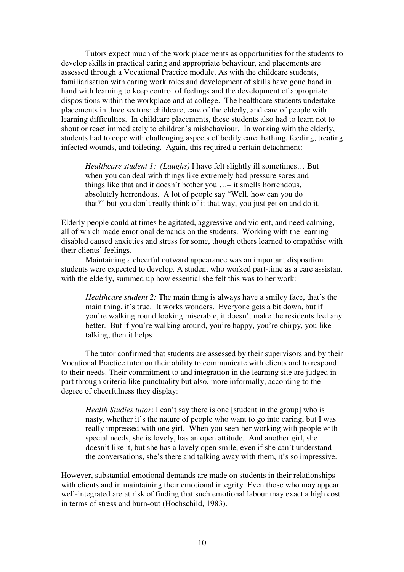Tutors expect much of the work placements as opportunities for the students to develop skills in practical caring and appropriate behaviour, and placements are assessed through a Vocational Practice module. As with the childcare students, familiarisation with caring work roles and development of skills have gone hand in hand with learning to keep control of feelings and the development of appropriate dispositions within the workplace and at college. The healthcare students undertake placements in three sectors: childcare, care of the elderly, and care of people with learning difficulties. In childcare placements, these students also had to learn not to shout or react immediately to children's misbehaviour. In working with the elderly, students had to cope with challenging aspects of bodily care: bathing, feeding, treating infected wounds, and toileting. Again, this required a certain detachment:

*Healthcare student 1: (Laughs)* I have felt slightly ill sometimes… But when you can deal with things like extremely bad pressure sores and things like that and it doesn't bother you …– it smells horrendous, absolutely horrendous. A lot of people say "Well, how can you do that?" but you don't really think of it that way, you just get on and do it.

Elderly people could at times be agitated, aggressive and violent, and need calming, all of which made emotional demands on the students. Working with the learning disabled caused anxieties and stress for some, though others learned to empathise with their clients' feelings.

Maintaining a cheerful outward appearance was an important disposition students were expected to develop. A student who worked part-time as a care assistant with the elderly, summed up how essential she felt this was to her work:

*Healthcare student 2:* The main thing is always have a smiley face, that's the main thing, it's true. It works wonders. Everyone gets a bit down, but if you're walking round looking miserable, it doesn't make the residents feel any better. But if you're walking around, you're happy, you're chirpy, you like talking, then it helps.

The tutor confirmed that students are assessed by their supervisors and by their Vocational Practice tutor on their ability to communicate with clients and to respond to their needs. Their commitment to and integration in the learning site are judged in part through criteria like punctuality but also, more informally, according to the degree of cheerfulness they display:

*Health Studies tutor*: I can't say there is one [student in the group] who is nasty, whether it's the nature of people who want to go into caring, but I was really impressed with one girl. When you seen her working with people with special needs, she is lovely, has an open attitude. And another girl, she doesn't like it, but she has a lovely open smile, even if she can't understand the conversations, she's there and talking away with them, it's so impressive.

However, substantial emotional demands are made on students in their relationships with clients and in maintaining their emotional integrity. Even those who may appear well-integrated are at risk of finding that such emotional labour may exact a high cost in terms of stress and burn-out (Hochschild, 1983).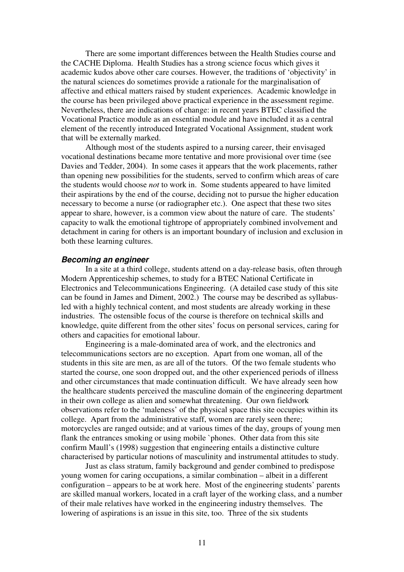There are some important differences between the Health Studies course and the CACHE Diploma. Health Studies has a strong science focus which gives it academic kudos above other care courses. However, the traditions of 'objectivity' in the natural sciences do sometimes provide a rationale for the marginalisation of affective and ethical matters raised by student experiences. Academic knowledge in the course has been privileged above practical experience in the assessment regime. Nevertheless, there are indications of change: in recent years BTEC classified the Vocational Practice module as an essential module and have included it as a central element of the recently introduced Integrated Vocational Assignment, student work that will be externally marked.

Although most of the students aspired to a nursing career, their envisaged vocational destinations became more tentative and more provisional over time (see Davies and Tedder, 2004). In some cases it appears that the work placements, rather than opening new possibilities for the students, served to confirm which areas of care the students would choose *not* to work in. Some students appeared to have limited their aspirations by the end of the course, deciding not to pursue the higher education necessary to become a nurse (or radiographer etc.). One aspect that these two sites appear to share, however, is a common view about the nature of care. The students' capacity to walk the emotional tightrope of appropriately combined involvement and detachment in caring for others is an important boundary of inclusion and exclusion in both these learning cultures.

### **Becoming an engineer**

In a site at a third college, students attend on a day-release basis, often through Modern Apprenticeship schemes, to study for a BTEC National Certificate in Electronics and Telecommunications Engineering. (A detailed case study of this site can be found in James and Diment, 2002.) The course may be described as syllabusled with a highly technical content, and most students are already working in these industries. The ostensible focus of the course is therefore on technical skills and knowledge, quite different from the other sites' focus on personal services, caring for others and capacities for emotional labour.

Engineering is a male-dominated area of work, and the electronics and telecommunications sectors are no exception. Apart from one woman, all of the students in this site are men, as are all of the tutors. Of the two female students who started the course, one soon dropped out, and the other experienced periods of illness and other circumstances that made continuation difficult. We have already seen how the healthcare students perceived the masculine domain of the engineering department in their own college as alien and somewhat threatening. Our own fieldwork observations refer to the 'maleness' of the physical space this site occupies within its college. Apart from the administrative staff, women are rarely seen there; motorcycles are ranged outside; and at various times of the day, groups of young men flank the entrances smoking or using mobile `phones. Other data from this site confirm Maull's (1998) suggestion that engineering entails a distinctive culture characterised by particular notions of masculinity and instrumental attitudes to study.

Just as class stratum, family background and gender combined to predispose young women for caring occupations, a similar combination – albeit in a different configuration – appears to be at work here. Most of the engineering students' parents are skilled manual workers, located in a craft layer of the working class, and a number of their male relatives have worked in the engineering industry themselves. The lowering of aspirations is an issue in this site, too. Three of the six students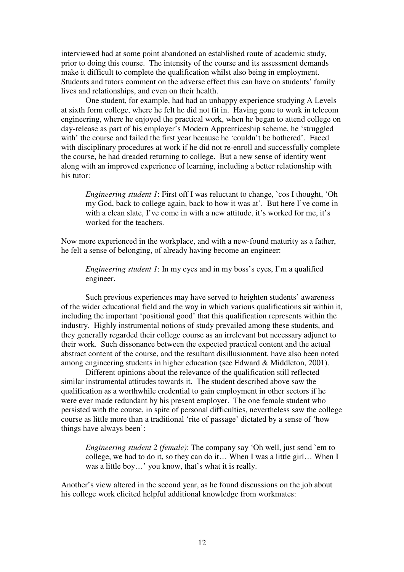interviewed had at some point abandoned an established route of academic study, prior to doing this course. The intensity of the course and its assessment demands make it difficult to complete the qualification whilst also being in employment. Students and tutors comment on the adverse effect this can have on students' family lives and relationships, and even on their health.

One student, for example, had had an unhappy experience studying A Levels at sixth form college, where he felt he did not fit in. Having gone to work in telecom engineering, where he enjoyed the practical work, when he began to attend college on day-release as part of his employer's Modern Apprenticeship scheme, he 'struggled with' the course and failed the first year because he 'couldn't be bothered'. Faced with disciplinary procedures at work if he did not re-enroll and successfully complete the course, he had dreaded returning to college. But a new sense of identity went along with an improved experience of learning, including a better relationship with his tutor:

*Engineering student 1*: First off I was reluctant to change, `cos I thought, 'Oh my God, back to college again, back to how it was at'. But here I've come in with a clean slate. I've come in with a new attitude, it's worked for me, it's worked for the teachers.

Now more experienced in the workplace, and with a new-found maturity as a father, he felt a sense of belonging, of already having become an engineer:

*Engineering student 1*: In my eyes and in my boss's eyes, I'm a qualified engineer.

Such previous experiences may have served to heighten students' awareness of the wider educational field and the way in which various qualifications sit within it, including the important 'positional good' that this qualification represents within the industry. Highly instrumental notions of study prevailed among these students, and they generally regarded their college course as an irrelevant but necessary adjunct to their work. Such dissonance between the expected practical content and the actual abstract content of the course, and the resultant disillusionment, have also been noted among engineering students in higher education (see Edward & Middleton, 2001).

Different opinions about the relevance of the qualification still reflected similar instrumental attitudes towards it. The student described above saw the qualification as a worthwhile credential to gain employment in other sectors if he were ever made redundant by his present employer. The one female student who persisted with the course, in spite of personal difficulties, nevertheless saw the college course as little more than a traditional 'rite of passage' dictated by a sense of 'how things have always been':

*Engineering student 2 (female)*: The company say 'Oh well, just send `em to college, we had to do it, so they can do it… When I was a little girl… When I was a little boy…' you know, that's what it is really.

Another's view altered in the second year, as he found discussions on the job about his college work elicited helpful additional knowledge from workmates: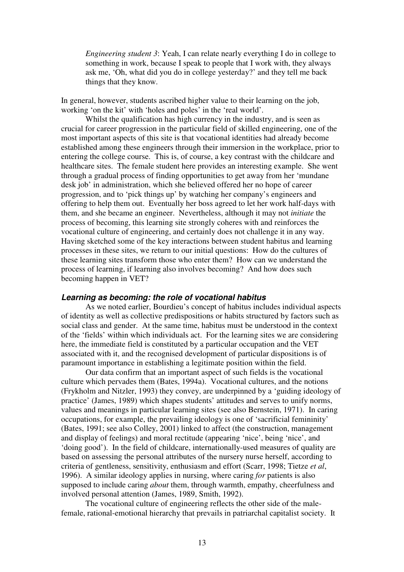*Engineering student 3*: Yeah, I can relate nearly everything I do in college to something in work, because I speak to people that I work with, they always ask me, 'Oh, what did you do in college yesterday?' and they tell me back things that they know.

In general, however, students ascribed higher value to their learning on the job, working 'on the kit' with 'holes and poles' in the 'real world'.

Whilst the qualification has high currency in the industry, and is seen as crucial for career progression in the particular field of skilled engineering, one of the most important aspects of this site is that vocational identities had already become established among these engineers through their immersion in the workplace, prior to entering the college course. This is, of course, a key contrast with the childcare and healthcare sites. The female student here provides an interesting example. She went through a gradual process of finding opportunities to get away from her 'mundane desk job' in administration, which she believed offered her no hope of career progression, and to 'pick things up' by watching her company's engineers and offering to help them out. Eventually her boss agreed to let her work half-days with them, and she became an engineer. Nevertheless, although it may not *initiate* the process of becoming, this learning site strongly coheres with and reinforces the vocational culture of engineering, and certainly does not challenge it in any way. Having sketched some of the key interactions between student habitus and learning processes in these sites, we return to our initial questions: How do the cultures of these learning sites transform those who enter them? How can we understand the process of learning, if learning also involves becoming? And how does such becoming happen in VET?

#### **Learning as becoming: the role of vocational habitus**

As we noted earlier, Bourdieu's concept of habitus includes individual aspects of identity as well as collective predispositions or habits structured by factors such as social class and gender. At the same time, habitus must be understood in the context of the 'fields' within which individuals act. For the learning sites we are considering here, the immediate field is constituted by a particular occupation and the VET associated with it, and the recognised development of particular dispositions is of paramount importance in establishing a legitimate position within the field.

 Our data confirm that an important aspect of such fields is the vocational culture which pervades them (Bates, 1994a). Vocational cultures, and the notions (Frykholm and Nitzler, 1993) they convey, are underpinned by a 'guiding ideology of practice' (James, 1989) which shapes students' attitudes and serves to unify norms, values and meanings in particular learning sites (see also Bernstein, 1971). In caring occupations, for example, the prevailing ideology is one of 'sacrificial femininity' (Bates, 1991; see also Colley, 2001) linked to affect (the construction, management and display of feelings) and moral rectitude (appearing 'nice', being 'nice', and 'doing good'). In the field of childcare, internationally-used measures of quality are based on assessing the personal attributes of the nursery nurse herself, according to criteria of gentleness, sensitivity, enthusiasm and effort (Scarr, 1998; Tietze *et al*, 1996). A similar ideology applies in nursing, where caring *for* patients is also supposed to include caring *about* them, through warmth, empathy, cheerfulness and involved personal attention (James, 1989, Smith, 1992).

 The vocational culture of engineering reflects the other side of the malefemale, rational-emotional hierarchy that prevails in patriarchal capitalist society. It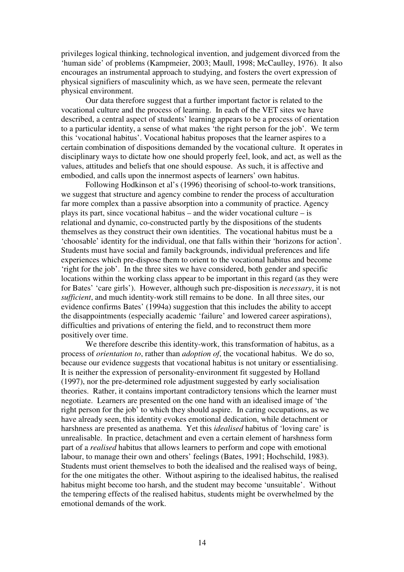privileges logical thinking, technological invention, and judgement divorced from the 'human side' of problems (Kampmeier, 2003; Maull, 1998; McCaulley, 1976). It also encourages an instrumental approach to studying, and fosters the overt expression of physical signifiers of masculinity which, as we have seen, permeate the relevant physical environment.

Our data therefore suggest that a further important factor is related to the vocational culture and the process of learning. In each of the VET sites we have described, a central aspect of students' learning appears to be a process of orientation to a particular identity, a sense of what makes 'the right person for the job'. We term this 'vocational habitus'. Vocational habitus proposes that the learner aspires to a certain combination of dispositions demanded by the vocational culture. It operates in disciplinary ways to dictate how one should properly feel, look, and act, as well as the values, attitudes and beliefs that one should espouse. As such, it is affective and embodied, and calls upon the innermost aspects of learners' own habitus.

 Following Hodkinson et al's (1996) theorising of school-to-work transitions, we suggest that structure and agency combine to render the process of acculturation far more complex than a passive absorption into a community of practice. Agency plays its part, since vocational habitus – and the wider vocational culture – is relational and dynamic, co-constructed partly by the dispositions of the students themselves as they construct their own identities. The vocational habitus must be a 'choosable' identity for the individual, one that falls within their 'horizons for action'. Students must have social and family backgrounds, individual preferences and life experiences which pre-dispose them to orient to the vocational habitus and become 'right for the job'. In the three sites we have considered, both gender and specific locations within the working class appear to be important in this regard (as they were for Bates' 'care girls'). However, although such pre-disposition is *necessary*, it is not *sufficient*, and much identity-work still remains to be done. In all three sites, our evidence confirms Bates' (1994a) suggestion that this includes the ability to accept the disappointments (especially academic 'failure' and lowered career aspirations), difficulties and privations of entering the field, and to reconstruct them more positively over time.

We therefore describe this identity-work, this transformation of habitus, as a process of *orientation to*, rather than *adoption of*, the vocational habitus. We do so, because our evidence suggests that vocational habitus is not unitary or essentialising. It is neither the expression of personality-environment fit suggested by Holland (1997), nor the pre-determined role adjustment suggested by early socialisation theories. Rather, it contains important contradictory tensions which the learner must negotiate. Learners are presented on the one hand with an idealised image of 'the right person for the job' to which they should aspire. In caring occupations, as we have already seen, this identity evokes emotional dedication, while detachment or harshness are presented as anathema. Yet this *idealised* habitus of 'loving care' is unrealisable. In practice, detachment and even a certain element of harshness form part of a *realised* habitus that allows learners to perform and cope with emotional labour, to manage their own and others' feelings (Bates, 1991; Hochschild, 1983). Students must orient themselves to both the idealised and the realised ways of being, for the one mitigates the other. Without aspiring to the idealised habitus, the realised habitus might become too harsh, and the student may become 'unsuitable'. Without the tempering effects of the realised habitus, students might be overwhelmed by the emotional demands of the work.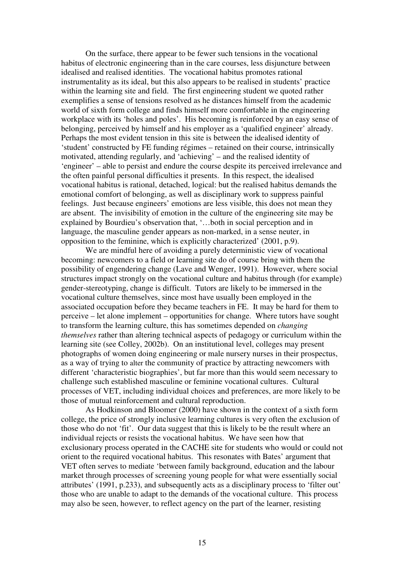On the surface, there appear to be fewer such tensions in the vocational habitus of electronic engineering than in the care courses, less disjuncture between idealised and realised identities. The vocational habitus promotes rational instrumentality as its ideal, but this also appears to be realised in students' practice within the learning site and field. The first engineering student we quoted rather exemplifies a sense of tensions resolved as he distances himself from the academic world of sixth form college and finds himself more comfortable in the engineering workplace with its 'holes and poles'. His becoming is reinforced by an easy sense of belonging, perceived by himself and his employer as a 'qualified engineer' already. Perhaps the most evident tension in this site is between the idealised identity of 'student' constructed by FE funding régimes – retained on their course, intrinsically motivated, attending regularly, and 'achieving' – and the realised identity of 'engineer' – able to persist and endure the course despite its perceived irrelevance and the often painful personal difficulties it presents. In this respect, the idealised vocational habitus is rational, detached, logical: but the realised habitus demands the emotional comfort of belonging, as well as disciplinary work to suppress painful feelings. Just because engineers' emotions are less visible, this does not mean they are absent. The invisibility of emotion in the culture of the engineering site may be explained by Bourdieu's observation that, '…both in social perception and in language, the masculine gender appears as non-marked, in a sense neuter, in opposition to the feminine, which is explicitly characterized' (2001, p.9).

We are mindful here of avoiding a purely deterministic view of vocational becoming: newcomers to a field or learning site do of course bring with them the possibility of engendering change (Lave and Wenger, 1991). However, where social structures impact strongly on the vocational culture and habitus through (for example) gender-stereotyping, change is difficult. Tutors are likely to be immersed in the vocational culture themselves, since most have usually been employed in the associated occupation before they became teachers in FE. It may be hard for them to perceive – let alone implement – opportunities for change. Where tutors have sought to transform the learning culture, this has sometimes depended on *changing themselves* rather than altering technical aspects of pedagogy or curriculum within the learning site (see Colley, 2002b). On an institutional level, colleges may present photographs of women doing engineering or male nursery nurses in their prospectus, as a way of trying to alter the community of practice by attracting newcomers with different 'characteristic biographies', but far more than this would seem necessary to challenge such established masculine or feminine vocational cultures. Cultural processes of VET, including individual choices and preferences, are more likely to be those of mutual reinforcement and cultural reproduction.

As Hodkinson and Bloomer (2000) have shown in the context of a sixth form college, the price of strongly inclusive learning cultures is very often the exclusion of those who do not 'fit'. Our data suggest that this is likely to be the result where an individual rejects or resists the vocational habitus. We have seen how that exclusionary process operated in the CACHE site for students who would or could not orient to the required vocational habitus. This resonates with Bates' argument that VET often serves to mediate 'between family background, education and the labour market through processes of screening young people for what were essentially social attributes' (1991, p.233), and subsequently acts as a disciplinary process to 'filter out' those who are unable to adapt to the demands of the vocational culture. This process may also be seen, however, to reflect agency on the part of the learner, resisting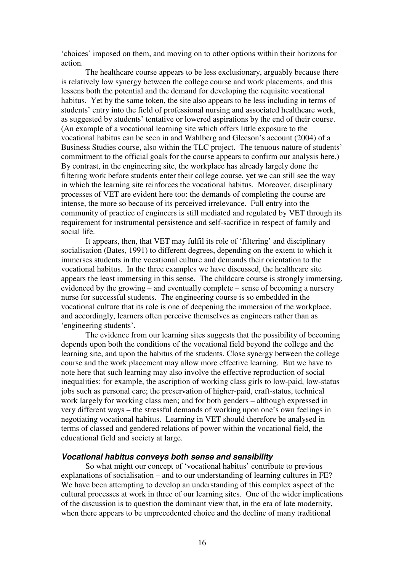'choices' imposed on them, and moving on to other options within their horizons for action.

The healthcare course appears to be less exclusionary, arguably because there is relatively low synergy between the college course and work placements, and this lessens both the potential and the demand for developing the requisite vocational habitus. Yet by the same token, the site also appears to be less including in terms of students' entry into the field of professional nursing and associated healthcare work, as suggested by students' tentative or lowered aspirations by the end of their course. (An example of a vocational learning site which offers little exposure to the vocational habitus can be seen in and Wahlberg and Gleeson's account (2004) of a Business Studies course, also within the TLC project. The tenuous nature of students' commitment to the official goals for the course appears to confirm our analysis here.) By contrast, in the engineering site, the workplace has already largely done the filtering work before students enter their college course, yet we can still see the way in which the learning site reinforces the vocational habitus. Moreover, disciplinary processes of VET are evident here too: the demands of completing the course are intense, the more so because of its perceived irrelevance. Full entry into the community of practice of engineers is still mediated and regulated by VET through its requirement for instrumental persistence and self-sacrifice in respect of family and social life.

It appears, then, that VET may fulfil its role of 'filtering' and disciplinary socialisation (Bates, 1991) to different degrees, depending on the extent to which it immerses students in the vocational culture and demands their orientation to the vocational habitus. In the three examples we have discussed, the healthcare site appears the least immersing in this sense. The childcare course is strongly immersing, evidenced by the growing – and eventually complete – sense of becoming a nursery nurse for successful students. The engineering course is so embedded in the vocational culture that its role is one of deepening the immersion of the workplace, and accordingly, learners often perceive themselves as engineers rather than as 'engineering students'.

The evidence from our learning sites suggests that the possibility of becoming depends upon both the conditions of the vocational field beyond the college and the learning site, and upon the habitus of the students. Close synergy between the college course and the work placement may allow more effective learning. But we have to note here that such learning may also involve the effective reproduction of social inequalities: for example, the ascription of working class girls to low-paid, low-status jobs such as personal care; the preservation of higher-paid, craft-status, technical work largely for working class men; and for both genders – although expressed in very different ways – the stressful demands of working upon one's own feelings in negotiating vocational habitus. Learning in VET should therefore be analysed in terms of classed and gendered relations of power within the vocational field, the educational field and society at large.

## **Vocational habitus conveys both sense and sensibility**

So what might our concept of 'vocational habitus' contribute to previous explanations of socialisation – and to our understanding of learning cultures in FE? We have been attempting to develop an understanding of this complex aspect of the cultural processes at work in three of our learning sites. One of the wider implications of the discussion is to question the dominant view that, in the era of late modernity, when there appears to be unprecedented choice and the decline of many traditional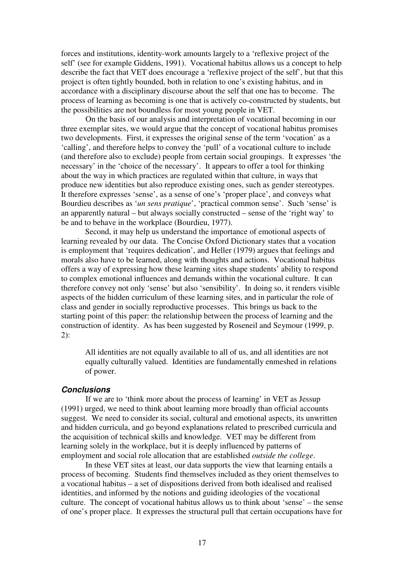forces and institutions, identity-work amounts largely to a 'reflexive project of the self' (see for example Giddens, 1991). Vocational habitus allows us a concept to help describe the fact that VET does encourage a 'reflexive project of the self', but that this project is often tightly bounded, both in relation to one's existing habitus, and in accordance with a disciplinary discourse about the self that one has to become. The process of learning as becoming is one that is actively co-constructed by students, but the possibilities are not boundless for most young people in VET.

 On the basis of our analysis and interpretation of vocational becoming in our three exemplar sites, we would argue that the concept of vocational habitus promises two developments.First, it expresses the original sense of the term 'vocation' as a 'calling', and therefore helps to convey the 'pull' of a vocational culture to include (and therefore also to exclude) people from certain social groupings. It expresses 'the necessary' in the 'choice of the necessary'. It appears to offer a tool for thinking about the way in which practices are regulated within that culture, in ways that produce new identities but also reproduce existing ones, such as gender stereotypes. It therefore expresses 'sense', as a sense of one's 'proper place', and conveys what Bourdieu describes as '*un sens pratique*', 'practical common sense'. Such 'sense' is an apparently natural – but always socially constructed – sense of the 'right way' to be and to behave in the workplace (Bourdieu, 1977).

Second, it may help us understand the importance of emotional aspects of learning revealed by our data. The Concise Oxford Dictionary states that a vocation is employment that 'requires dedication', and Heller (1979) argues that feelings and morals also have to be learned, along with thoughts and actions. Vocational habitus offers a way of expressing how these learning sites shape students' ability to respond to complex emotional influences and demands within the vocational culture. It can therefore convey not only 'sense' but also 'sensibility'. In doing so, it renders visible aspects of the hidden curriculum of these learning sites, and in particular the role of class and gender in socially reproductive processes. This brings us back to the starting point of this paper: the relationship between the process of learning and the construction of identity. As has been suggested by Roseneil and Seymour (1999, p. 2):

All identities are not equally available to all of us, and all identities are not equally culturally valued. Identities are fundamentally enmeshed in relations of power.

### **Conclusions**

 If we are to 'think more about the process of learning' in VET as Jessup (1991) urged, we need to think about learning more broadly than official accounts suggest. We need to consider its social, cultural and emotional aspects, its unwritten and hidden curricula, and go beyond explanations related to prescribed curricula and the acquisition of technical skills and knowledge. VET may be different from learning solely in the workplace, but it is deeply influenced by patterns of employment and social role allocation that are established *outside the college*.

 In these VET sites at least, our data supports the view that learning entails a process of becoming. Students find themselves included as they orient themselves to a vocational habitus – a set of dispositions derived from both idealised and realised identities, and informed by the notions and guiding ideologies of the vocational culture. The concept of vocational habitus allows us to think about 'sense' – the sense of one's proper place. It expresses the structural pull that certain occupations have for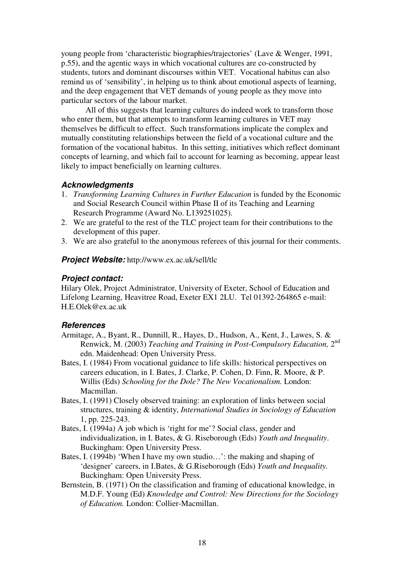young people from 'characteristic biographies/trajectories' (Lave & Wenger, 1991, p.55), and the agentic ways in which vocational cultures are co-constructed by students, tutors and dominant discourses within VET. Vocational habitus can also remind us of 'sensibility', in helping us to think about emotional aspects of learning, and the deep engagement that VET demands of young people as they move into particular sectors of the labour market.

 All of this suggests that learning cultures do indeed work to transform those who enter them, but that attempts to transform learning cultures in VET may themselves be difficult to effect. Such transformations implicate the complex and mutually constituting relationships between the field of a vocational culture and the formation of the vocational habitus.In this setting, initiatives which reflect dominant concepts of learning, and which fail to account for learning as becoming, appear least likely to impact beneficially on learning cultures.

## **Acknowledgments**

- 1. *Transforming Learning Cultures in Further Education* is funded by the Economic and Social Research Council within Phase II of its Teaching and Learning Research Programme (Award No. L139251025).
- 2. We are grateful to the rest of the TLC project team for their contributions to the development of this paper.
- 3. We are also grateful to the anonymous referees of this journal for their comments.

**Project Website:** http://www.ex.ac.uk/sell/tlc

## **Project contact:**

Hilary Olek, Project Administrator, University of Exeter, School of Education and Lifelong Learning, Heavitree Road, Exeter EX1 2LU. Tel 01392-264865 e-mail: H.E.Olek@ex.ac.uk

## **References**

- Armitage, A., Byant, R., Dunnill, R., Hayes, D., Hudson, A., Kent, J., Lawes, S. & Renwick, M. (2003) *Teaching and Training in Post-Compulsory Education,* 2nd edn. Maidenhead: Open University Press.
- Bates, I. (1984) From vocational guidance to life skills: historical perspectives on careers education, in I. Bates, J. Clarke, P. Cohen, D. Finn, R. Moore, & P. Willis (Eds) *Schooling for the Dole? The New Vocationalism.* London: Macmillan.
- Bates, I. (1991) Closely observed training: an exploration of links between social structures, training & identity, *International Studies in Sociology of Education* 1, pp. 225-243.
- Bates, I. (1994a) A job which is 'right for me'? Social class, gender and individualization, in I. Bates, & G. Riseborough (Eds) *Youth and Inequality*. Buckingham: Open University Press.
- Bates, I. (1994b) 'When I have my own studio…': the making and shaping of 'designer' careers, in I.Bates, & G.Riseborough (Eds) *Youth and Inequality.* Buckingham: Open University Press.
- Bernstein, B. (1971) On the classification and framing of educational knowledge, in M.D.F. Young (Ed) *Knowledge and Control: New Directions for the Sociology of Education.* London: Collier-Macmillan.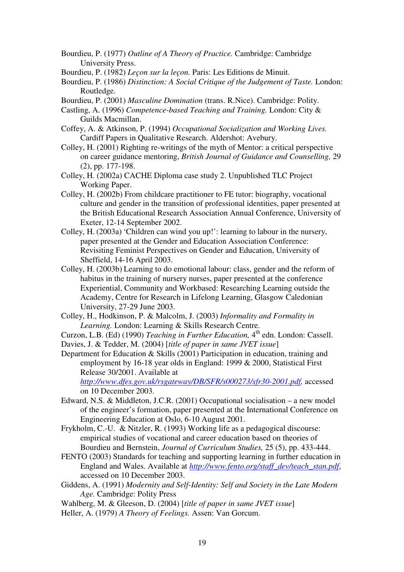Bourdieu, P. (1977) *Outline of A Theory of Practice.* Cambridge: Cambridge University Press.

Bourdieu, P. (1982) *Leçon sur la leçon.* Paris: Les Editions de Minuit.

Bourdieu, P. (1986) *Distinction: A Social Critique of the Judgement of Taste.* London: Routledge.

- Bourdieu, P. (2001) *Masculine Domination* (trans. R.Nice). Cambridge: Polity.
- Castling, A. (1996) *Competence-based Teaching and Training.* London: City & Guilds Macmillan.
- Coffey, A. & Atkinson, P. (1994) *Occupational Socialization and Working Lives.* Cardiff Papers in Qualitative Research. Aldershot: Avebury.
- Colley, H. (2001) Righting re-writings of the myth of Mentor: a critical perspective on career guidance mentoring, *British Journal of Guidance and Counselling,* 29 (2), pp. 177-198.
- Colley, H. (2002a) CACHE Diploma case study 2. Unpublished TLC Project Working Paper.
- Colley, H. (2002b) From childcare practitioner to FE tutor: biography, vocational culture and gender in the transition of professional identities, paper presented at the British Educational Research Association Annual Conference, University of Exeter, 12-14 September 2002.
- Colley, H. (2003a) 'Children can wind you up!': learning to labour in the nursery, paper presented at the Gender and Education Association Conference: Revisiting Feminist Perspectives on Gender and Education, University of Sheffield, 14-16 April 2003.
- Colley, H. (2003b) Learning to do emotional labour: class, gender and the reform of habitus in the training of nursery nurses, paper presented at the conference Experiential, Community and Workbased: Researching Learning outside the Academy, Centre for Research in Lifelong Learning, Glasgow Caledonian University, 27-29 June 2003.
- Colley, H., Hodkinson, P. & Malcolm, J. (2003) *Informality and Formality in Learning.* London: Learning & Skills Research Centre.

Curzon, L.B. (Ed) (1990) *Teaching in Further Education*, 4<sup>th</sup> edn. London: Cassell. Davies, J. & Tedder, M. (2004) [*title of paper in same JVET issue*]

Department for Education & Skills (2001) Participation in education, training and employment by 16-18 year olds in England: 1999 & 2000, Statistical First Release 30/2001. Available at

*http://www.dfes.gov.uk/rsgateway/DB/SFR/s000273/sfr30-2001.pdf,* accessed on 10 December 2003.

- Edward, N.S. & Middleton, J.C.R. (2001) Occupational socialisation a new model of the engineer's formation, paper presented at the International Conference on Engineering Education at Oslo, 6-10 August 2001.
- Frykholm, C.-U. & Nitzler, R. (1993) Working life as a pedagogical discourse: empirical studies of vocational and career education based on theories of Bourdieu and Bernstein, *Journal of Curriculum Studies,* 25 (5), pp. 433-444.
- FENTO (2003) Standards for teaching and supporting learning in further education in England and Wales. Available at *http://www.fento.org/staff\_dev/teach\_stan.pdf*, accessed on 10 December 2003.
- Giddens, A. (1991) *Modernity and Self-Identity: Self and Society in the Late Modern Age.* Cambridge: Polity Press
- Wahlberg, M. & Gleeson, D. (2004) [*title of paper in same JVET issue*]
- Heller, A. (1979) *A Theory of Feelings.* Assen: Van Gorcum.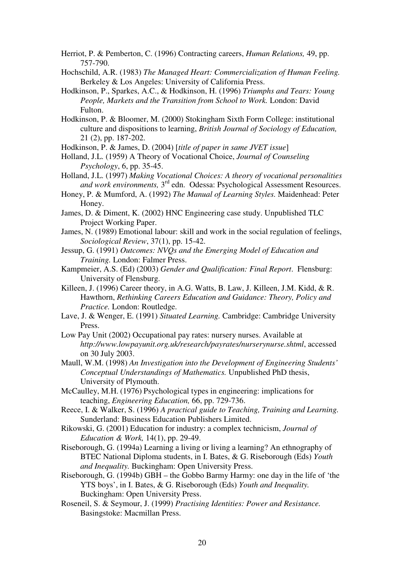- Herriot, P. & Pemberton, C. (1996) Contracting careers, *Human Relations,* 49, pp. 757-790.
- Hochschild, A.R. (1983) *The Managed Heart: Commercialization of Human Feeling.* Berkeley & Los Angeles: University of California Press.
- Hodkinson, P., Sparkes, A.C., & Hodkinson, H. (1996) *Triumphs and Tears: Young People, Markets and the Transition from School to Work.* London: David Fulton.
- Hodkinson, P. & Bloomer, M. (2000) Stokingham Sixth Form College: institutional culture and dispositions to learning, *British Journal of Sociology of Education,* 21 (2), pp. 187-202.
- Hodkinson, P. & James, D. (2004) [*title of paper in same JVET issue*]
- Holland, J.L. (1959) A Theory of Vocational Choice, *Journal of Counseling Psychology*, 6, pp. 35-45.
- Holland, J.L. (1997) *Making Vocational Choices: A theory of vocational personalities and work environments,* 3rd edn. Odessa: Psychological Assessment Resources.
- Honey, P. & Mumford, A. (1992) *The Manual of Learning Styles.* Maidenhead: Peter Honey.
- James, D. & Diment, K. (2002) HNC Engineering case study. Unpublished TLC Project Working Paper.
- James, N. (1989) Emotional labour: skill and work in the social regulation of feelings, *Sociological Review*, 37(1), pp. 15-42.
- Jessup, G. (1991) *Outcomes: NVQs and the Emerging Model of Education and Training.* London: Falmer Press.
- Kampmeier, A.S. (Ed) (2003) *Gender and Qualification: Final Report*. Flensburg: University of Flensburg.
- Killeen, J. (1996) Career theory, in A.G. Watts, B. Law, J. Killeen, J.M. Kidd, & R. Hawthorn, *Rethinking Careers Education and Guidance: Theory, Policy and Practice.* London: Routledge.
- Lave, J. & Wenger, E. (1991) *Situated Learning.* Cambridge: Cambridge University Press.
- Low Pay Unit (2002) Occupational pay rates: nursery nurses. Available at *http://www.lowpayunit.org.uk/research/payrates/nurserynurse.shtml*, accessed on 30 July 2003.
- Maull, W.M. (1998) *An Investigation into the Development of Engineering Students' Conceptual Understandings of Mathematics.* Unpublished PhD thesis, University of Plymouth.
- McCaulley, M.H. (1976) Psychological types in engineering: implications for teaching, *Engineering Education,* 66, pp. 729-736.
- Reece, I. & Walker, S. (1996) *A practical guide to Teaching, Training and Learning.* Sunderland: Business Education Publishers Limited.
- Rikowski, G. (2001) Education for industry: a complex technicism, *Journal of Education & Work,* 14(1), pp. 29-49.
- Riseborough, G. (1994a) Learning a living or living a learning? An ethnography of BTEC National Diploma students, in I. Bates, & G. Riseborough (Eds) *Youth and Inequality.* Buckingham: Open University Press.
- Riseborough, G. (1994b) GBH the Gobbo Barmy Harmy: one day in the life of 'the YTS boys', in I. Bates, & G. Riseborough (Eds) *Youth and Inequality.* Buckingham: Open University Press.
- Roseneil, S. & Seymour, J. (1999) *Practising Identities: Power and Resistance.* Basingstoke: Macmillan Press.